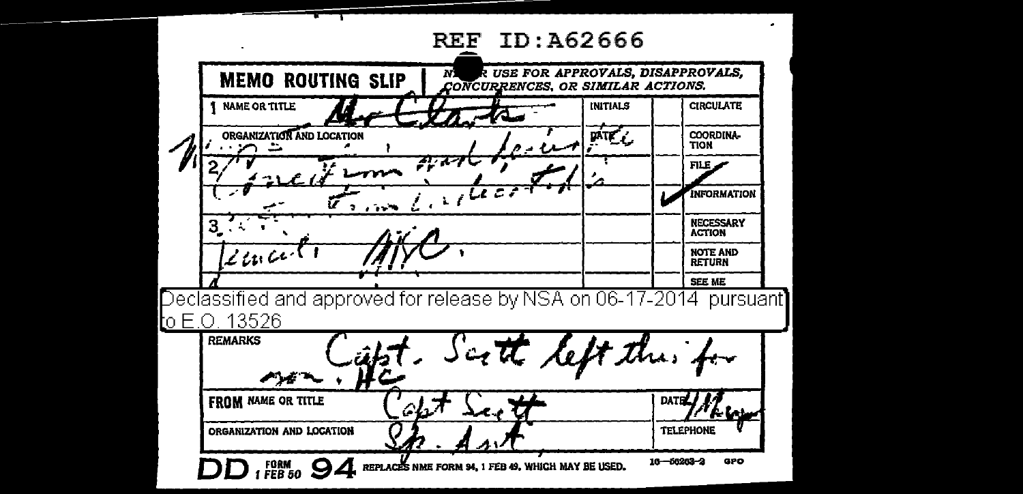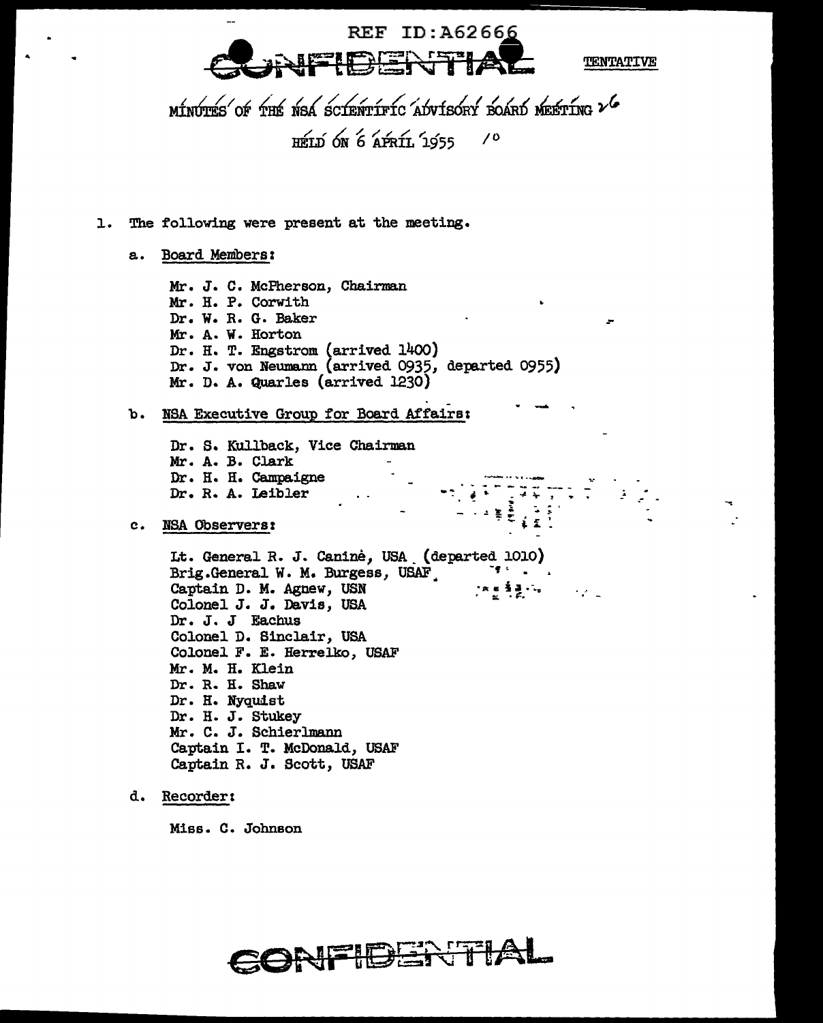**REF ID: A62666** 

**TENTATIVE** 

 $\sim 10^{-11}$ 

MINUTES OF THE NSA SCIENTIFIC ADVISORY BOARD MEETING 2 6 HELD ON 6 APRIL 1955  $\prime$ 

- 1. The following were present at the meeting.
	- a. Board Members:

Mr. J. C. McPherson, Chairman Mr. H. P. Corwith Dr. W. R. G. Baker Mr. A. W. Horton Dr. H. T. Engstrom (arrived 1400) Dr. J. von Neumann (arrived 0935, departed 0955) Mr. D. A. Quarles (arrived 1230)

b. NSA Executive Group for Board Affairs:

Dr. S. Kullback, Vice Chairman Mr. A. B. Clark Dr. H. H. Campaigne Dr. R. A. Leibler

## c. NSA Observers:

Lt. General R. J. Caninė, USA (departed 1010) Brig.General W. M. Burgess, USAF Captain D. M. Agnew, USN [지원 특별 1개 Colonel J. J. Davis, USA Dr. J. J Eachus Colonel D. Sinclair, USA Colonel F. E. Herrelko, USAF Mr. M. H. Klein Dr. R. H. Shaw Dr. H. Nyquist Dr. H. J. Stukey Mr. C. J. Schierlmann Captain I. T. McDonald, USAF Captain R. J. Scott, USAF

d. Recorder:

Miss. C. Johnson

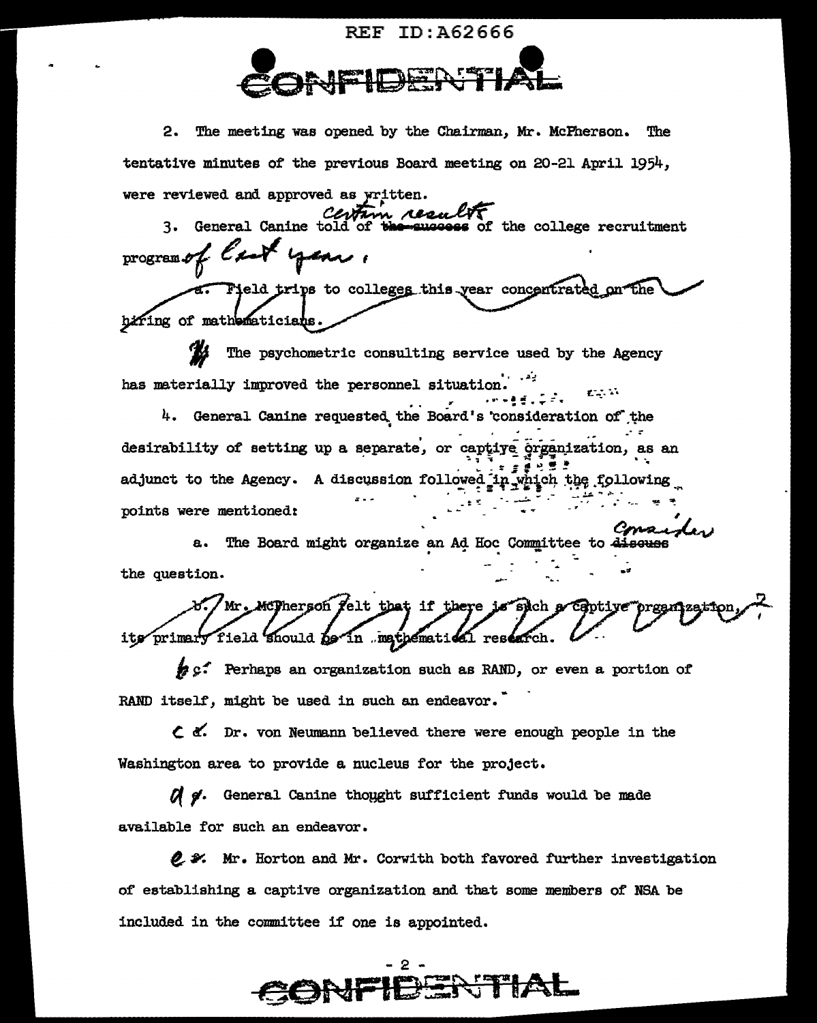

2. The meeting was opened by the Chairman, Mr. McFherson. The tentative minutes of the previous Board meeting on 20-21 April 1954, were reviewed and approved as written.

3. General Canine told of the success of the college recruitment program of  $\ell$  and

eld trips to colleges this year concentrated on the hifting of mathematicians.

'KI The psychometric consulting service used by the Agency has materially improved the personnel situation.  $\mathcal{L} \rightarrow \mathcal{L}$  .

4. General Canine requested the Board's consideration of the desirability of setting up a separate, or captive organization, as an adjunct to the Agency. A discussion followed in which the following points were mentioned:

a. The Board might organize an Ad Hoc Committee to discuss the question.

Mr. McPherson felt that if there is sich a **Capti** its primary field should be in mathematical research

# c. Perhaps an organization such as RAND, or even a portion of RAND itself, might be used in such an endeavor.

 $\zeta$  of. Dr. von Neumann believed there were enough people in the Washington area to provide a nucleus for the project.

Of g. General Canine thought sufficient funds would be made available for such an endeavor.

2 % Mr. Horton and Mr. Corwith both favored further investigation of establishing a captive organization and that some members of NSA be included in the committee if one is appointed.